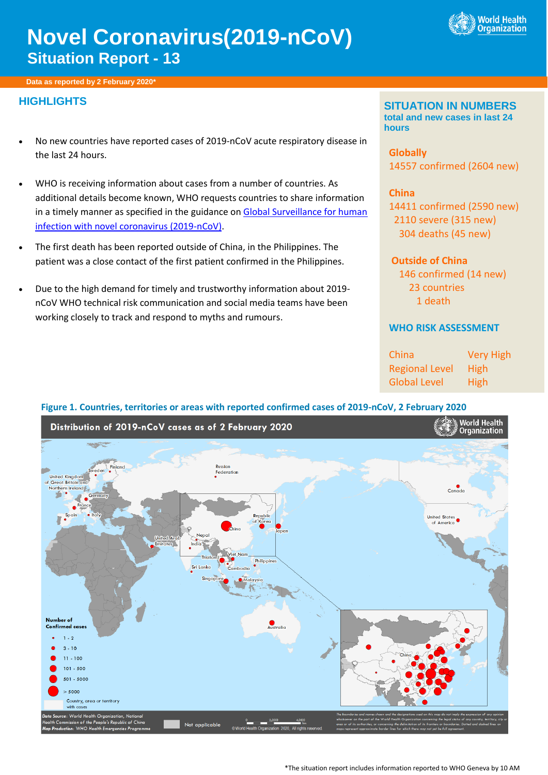

# **Novel Coronavirus(2019-nCoV) Situation Report - 13**

**Data as reported by 2 February 2020\***

# **HIGHLIGHTS**

- No new countries have reported cases of 2019-nCoV acute respiratory disease in the last 24 hours.
- WHO is receiving information about cases from a number of countries. As additional details become known, WHO requests countries to share information in a timely manner as specified in the guidance on Global Surveillance for human [infection with novel coronavirus \(2019-nCoV\).](https://www.who.int/publications-detail/global-surveillance-for-human-infection-with-novel-coronavirus-(2019-ncov))
- The first death has been reported outside of China, in the Philippines. The patient was a close contact of the first patient confirmed in the Philippines.
- Due to the high demand for timely and trustworthy information about 2019 nCoV WHO technical risk communication and social media teams have been working closely to track and respond to myths and rumours.

#### **SITUATION IN NUMBERS total and new cases in last 24 hours**

**Globally**  14557 confirmed (2604 new)

**China** confirmed (2590 new) severe (315 new) deaths (45 new)

## **Outside of China**

 146 confirmed (14 new) 23 countries 1 death

#### **WHO RISK ASSESSMENT**

| China                 | <b>Very High</b> |
|-----------------------|------------------|
| <b>Regional Level</b> | High             |
| <b>Global Level</b>   | High             |

#### **Figure 1. Countries, territories or areas with reported confirmed cases of 2019-nCoV, 2 February 2020**



\*The situation report includes information reported to WHO Geneva by 10 AM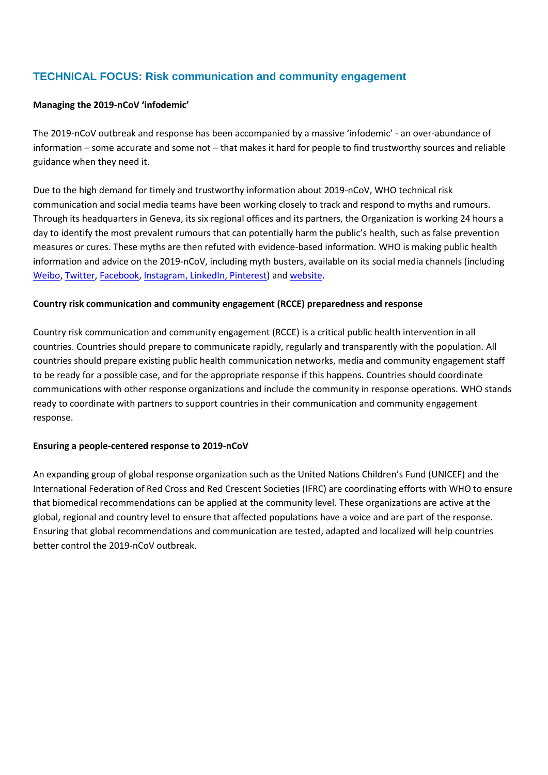# **TECHNICAL FOCUS: Risk communication and community engagement**

#### **Managing the 2019-nCoV 'infodemic'**

The 2019-nCoV outbreak and response has been accompanied by a massive 'infodemic' - an over-abundance of information – some accurate and some not – that makes it hard for people to find trustworthy sources and reliable guidance when they need it.

Due to the high demand for timely and trustworthy information about 2019-nCoV, WHO technical risk communication and social media teams have been working closely to track and respond to myths and rumours. Through its headquarters in Geneva, its six regional offices and its partners, the Organization is working 24 hours a day to identify the most prevalent rumours that can potentially harm the public's health, such as false prevention measures or cures. These myths are then refuted with evidence-based information. WHO is making public health information and advice on the 2019-nCoV, including myth busters, available on its social media channels (including [Weibo,](https://www.weibo.com/whoinchina) [Twitter,](https://twitter.com/WHO) [Facebook,](https://www.facebook.com/WHO/) [Instagram,](https://instagram.com/WHO) [LinkedIn,](https://www.linkedin.com/company/world-health-organization/) [Pinterest\)](https://www.pinterest.ch/worldhealthorganization/) and [website.](https://www.who.int/emergencies/diseases/novel-coronavirus-2019/advice-for-public)

#### **Country risk communication and community engagement (RCCE) preparedness and response**

Country risk communication and community engagement (RCCE) is a critical public health intervention in all countries. Countries should prepare to communicate rapidly, regularly and transparently with the population. All countries should prepare existing public health communication networks, media and community engagement staff to be ready for a possible case, and for the appropriate response if this happens. Countries should coordinate communications with other response organizations and include the community in response operations. WHO stands ready to coordinate with partners to support countries in their communication and community engagement response.

#### **Ensuring a people-centered response to 2019-nCoV**

An expanding group of global response organization such as the United Nations Children's Fund (UNICEF) and the International Federation of Red Cross and Red Crescent Societies (IFRC) are coordinating efforts with WHO to ensure that biomedical recommendations can be applied at the community level. These organizations are active at the global, regional and country level to ensure that affected populations have a voice and are part of the response. Ensuring that global recommendations and communication are tested, adapted and localized will help countries better control the 2019-nCoV outbreak.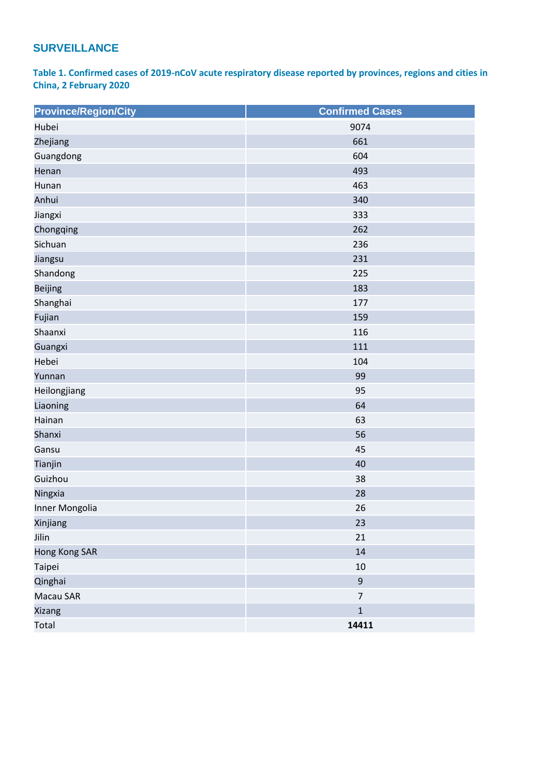# **SURVEILLANCE**

**Table 1. Confirmed cases of 2019-nCoV acute respiratory disease reported by provinces, regions and cities in China, 2 February 2020**

| <b>Province/Region/City</b> | <b>Confirmed Cases</b> |  |
|-----------------------------|------------------------|--|
| Hubei                       | 9074                   |  |
| Zhejiang                    | 661                    |  |
| Guangdong                   | 604                    |  |
| Henan                       | 493                    |  |
| Hunan                       | 463                    |  |
| Anhui                       | 340                    |  |
| Jiangxi                     | 333                    |  |
| Chongqing                   | 262                    |  |
| Sichuan                     | 236                    |  |
| Jiangsu                     | 231                    |  |
| Shandong                    | 225                    |  |
| <b>Beijing</b>              | 183                    |  |
| Shanghai                    | 177                    |  |
| Fujian                      | 159                    |  |
| Shaanxi                     | 116                    |  |
| Guangxi                     | 111                    |  |
| Hebei                       | 104                    |  |
| Yunnan                      | 99                     |  |
| Heilongjiang                | 95                     |  |
| Liaoning                    | 64                     |  |
| Hainan                      | 63                     |  |
| Shanxi                      | 56                     |  |
| Gansu                       | 45                     |  |
| Tianjin                     | 40                     |  |
| Guizhou                     | 38                     |  |
| Ningxia                     | 28                     |  |
| Inner Mongolia              | 26                     |  |
| Xinjiang                    | 23                     |  |
| Jilin                       | 21                     |  |
| <b>Hong Kong SAR</b>        | 14                     |  |
| Taipei                      | 10                     |  |
| Qinghai                     | $\boldsymbol{9}$       |  |
| Macau SAR                   | $\overline{7}$         |  |
| Xizang                      | $\mathbf 1$            |  |
| Total                       | 14411                  |  |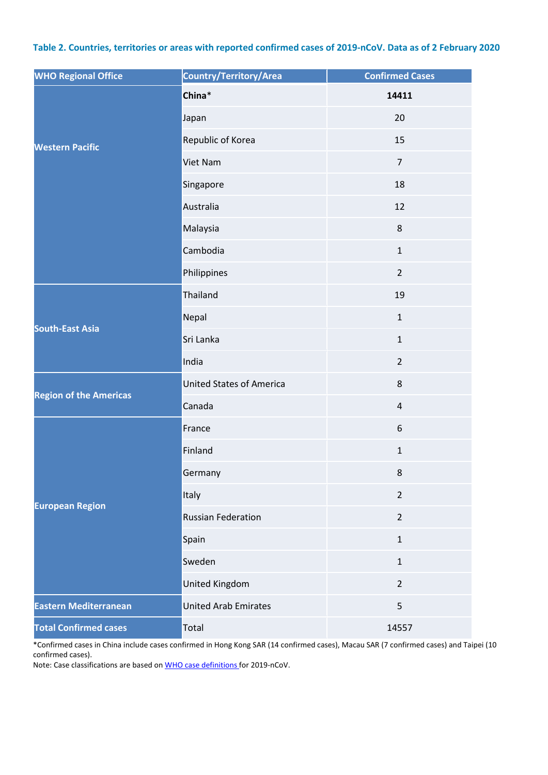#### **Table 2. Countries, territories or areas with reported confirmed cases of 2019-nCoV. Data as of 2 February 2020**

| <b>WHO Regional Office</b>    | Country/Territory/Area          | <b>Confirmed Cases</b> |
|-------------------------------|---------------------------------|------------------------|
| <b>Western Pacific</b>        | China*                          | 14411                  |
|                               | Japan                           | 20                     |
|                               | Republic of Korea               | 15                     |
|                               | Viet Nam                        | $\overline{7}$         |
|                               | Singapore                       | 18                     |
|                               | Australia                       | 12                     |
|                               | Malaysia                        | 8                      |
|                               | Cambodia                        | $\mathbf{1}$           |
|                               | Philippines                     | $\overline{2}$         |
| <b>South-East Asia</b>        | Thailand                        | 19                     |
|                               | Nepal                           | $\mathbf{1}$           |
|                               | Sri Lanka                       | $\mathbf{1}$           |
|                               | India                           | $\overline{2}$         |
| <b>Region of the Americas</b> | <b>United States of America</b> | 8                      |
|                               | Canada                          | $\sqrt{4}$             |
| <b>European Region</b>        | France                          | 6                      |
|                               | Finland                         | $\mathbf{1}$           |
|                               | Germany                         | $\bf 8$                |
|                               | Italy                           | $\overline{2}$         |
|                               | <b>Russian Federation</b>       | $\overline{2}$         |
|                               | Spain                           | $\mathbf{1}$           |
|                               | Sweden                          | $\mathbf{1}$           |
|                               | <b>United Kingdom</b>           | $\overline{2}$         |
| <b>Eastern Mediterranean</b>  | <b>United Arab Emirates</b>     | 5                      |
| <b>Total Confirmed cases</b>  | Total                           | 14557                  |

\*Confirmed cases in China include cases confirmed in Hong Kong SAR (14 confirmed cases), Macau SAR (7 confirmed cases) and Taipei (10 confirmed cases).

Note: Case classifications are based o[n WHO case definitions](https://www.who.int/publications-detail/global-surveillance-for-human-infection-with-novel-coronavirus-(2019-ncov)) for 2019-nCoV.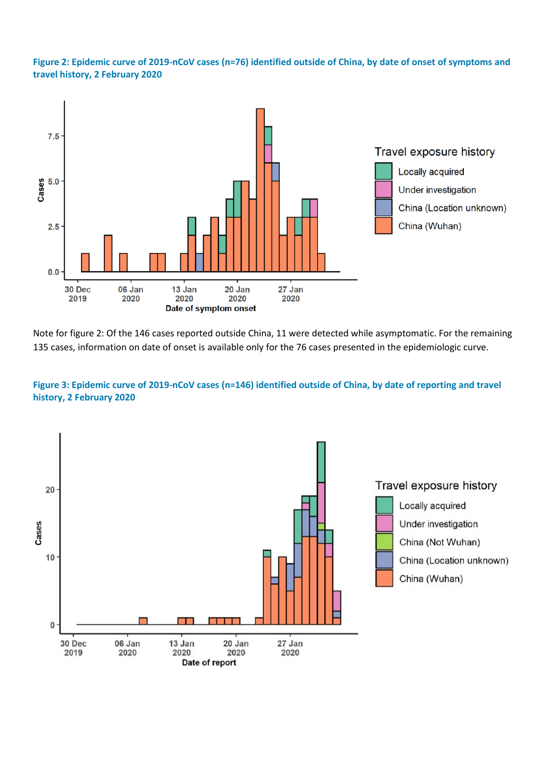**Figure 2: Epidemic curve of 2019-nCoV cases (n=76) identified outside of China, by date of onset of symptoms and travel history, 2 February 2020**



Note for figure 2: Of the 146 cases reported outside China, 11 were detected while asymptomatic. For the remaining 135 cases, information on date of onset is available only for the 76 cases presented in the epidemiologic curve.

#### **Figure 3: Epidemic curve of 2019-nCoV cases (n=146) identified outside of China, by date of reporting and travel history, 2 February 2020**

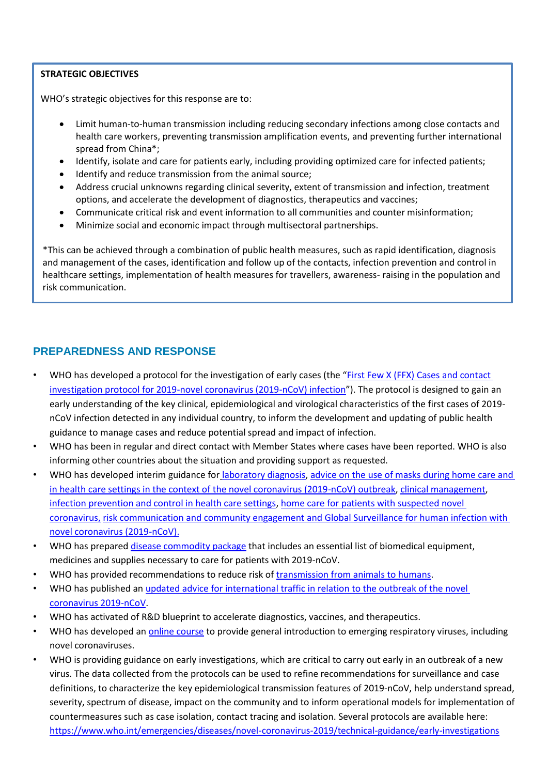#### **STRATEGIC OBJECTIVES**

WHO's strategic objectives for this response are to:

- Limit human-to-human transmission including reducing secondary infections among close contacts and health care workers, preventing transmission amplification events, and preventing further international spread from China\*;
- Identify, isolate and care for patients early, including providing optimized care for infected patients;
- Identify and reduce transmission from the animal source;
- Address crucial unknowns regarding clinical severity, extent of transmission and infection, treatment options, and accelerate the development of diagnostics, therapeutics and vaccines;
- Communicate critical risk and event information to all communities and counter misinformation;
- Minimize social and economic impact through multisectoral partnerships.

\*This can be achieved through a combination of public health measures, such as rapid identification, diagnosis and management of the cases, identification and follow up of the contacts, infection prevention and control in healthcare settings, implementation of health measures for travellers, awareness- raising in the population and risk communication.

## **PREPAREDNESS AND RESPONSE**

- WHO has developed a protocol for the investigation of early cases (the "First Few X (FFX) Cases and contact [investigation protocol for 2019-novel coronavirus \(2019-nCoV\) infection](https://www.who.int/publications-detail/the-first-few-x-(ffx)-cases-and-contact-investigation-protocol-for-2019-novel-coronavirus-(2019-ncov)-infection)"). The protocol is designed to gain an early understanding of the key clinical, epidemiological and virological characteristics of the first cases of 2019 nCoV infection detected in any individual country, to inform the development and updating of public health guidance to manage cases and reduce potential spread and impact of infection.
- WHO has been in regular and direct contact with Member States where cases have been reported. WHO is also informing other countries about the situation and providing support as requested.
- WHO has developed interim guidance for [laboratory diagnosis,](https://www.who.int/health-topics/coronavirus/laboratory-diagnostics-for-novel-coronavirus) [advice on the use of masks during home care and](https://www.who.int/publications-detail/advice-on-the-use-of-masks-the-community-during-home-care-and-in-health-care-settings-in-the-context-of-the-novel-coronavirus-(2019-ncov)-outbreak)  [in health care settings in the context of the novel coronavirus \(2019-nCoV\) outbreak,](https://www.who.int/publications-detail/advice-on-the-use-of-masks-the-community-during-home-care-and-in-health-care-settings-in-the-context-of-the-novel-coronavirus-(2019-ncov)-outbreak) [clinical management](https://www.who.int/publications-detail/clinical-management-of-severe-acute-respiratory-infection-when-novel-coronavirus-(ncov)-infection-is-suspected)[,](https://www.who.int/publications-detail/infection-prevention-and-control-during-health-care-when-novel-coronavirus-(ncov)-infection-is-suspected) [infection prevention and control in health care settings,](https://www.who.int/publications-detail/infection-prevention-and-control-during-health-care-when-novel-coronavirus-(ncov)-infection-is-suspected) [home care for patients with suspected novel](https://www.who.int/publications-detail/home-care-for-patients-with-suspected-novel-coronavirus-(ncov)-infection-presenting-with-mild-symptoms-and-management-of-contacts)  [coronavirus,](https://www.who.int/publications-detail/home-care-for-patients-with-suspected-novel-coronavirus-(ncov)-infection-presenting-with-mild-symptoms-and-management-of-contacts) [risk communication and community engagement](https://www.who.int/publications-detail/risk-communication-and-community-engagement-readiness-and-initial-response-for-novel-coronaviruses-(-ncov)) an[d Global Surveillance for human infection with](https://www.who.int/publications-detail/global-surveillance-for-human-infection-with-novel-coronavirus-(2019-ncov))  [novel coronavirus \(2019-nCoV\).](https://www.who.int/publications-detail/global-surveillance-for-human-infection-with-novel-coronavirus-(2019-ncov))
- WHO has prepared disease [commodity package](https://www.who.int/publications-detail/disease-commodity-package---novel-coronavirus-(ncov)) that includes an essential list of biomedical equipment, medicines and supplies necessary to care for patients with 2019-nCoV.
- WHO has provided recommendations to reduce risk of [transmission from animals to humans.](https://www.who.int/health-topics/coronavirus/who-recommendations-to-reduce-risk-of-transmission-of-emerging-pathogens-from-animals-to-humans-in-live-animal-markets)
- WHO has published an updated advice for international traffic in relation to the outbreak of the novel [coronavirus 2019-nCoV.](https://www.who.int/ith/2019-nCoV_advice_for_international_traffic/en/)
- WHO has activated of R&D blueprint to accelerate diagnostics, vaccines, and therapeutics.
- WHO has developed an *online course* to provide general introduction to emerging respiratory viruses, including novel coronaviruses.
- WHO is providing guidance on early investigations, which are critical to carry out early in an outbreak of a new virus. The data collected from the protocols can be used to refine recommendations for surveillance and case definitions, to characterize the key epidemiological transmission features of 2019-nCoV, help understand spread, severity, spectrum of disease, impact on the community and to inform operational models for implementation of countermeasures such as case isolation, contact tracing and isolation. Several protocols are available here: <https://www.who.int/emergencies/diseases/novel-coronavirus-2019/technical-guidance/early-investigations>